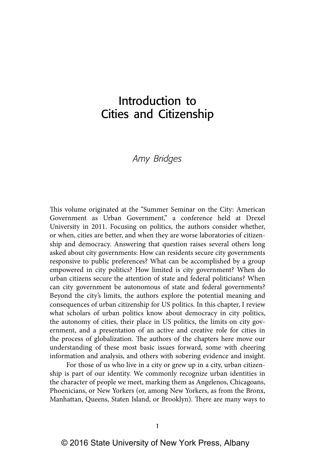# Introduction to Cities and Citizenship

# *Amy Bridges*

This volume originated at the "Summer Seminar on the City: American Government as Urban Government," a conference held at Drexel University in 2011. Focusing on politics, the authors consider whether, or when, cities are better, and when they are worse laboratories of citizenship and democracy. Answering that question raises several others long asked about city governments: How can residents secure city governments responsive to public preferences? What can be accomplished by a group empowered in city politics? How limited is city government? When do urban citizens secure the attention of state and federal politicians? When can city government be autonomous of state and federal governments? Beyond the city's limits, the authors explore the potential meaning and consequences of urban citizenship for US politics. In this chapter, I review what scholars of urban politics know about democracy in city politics, the autonomy of cities, their place in US politics, the limits on city government, and a presentation of an active and creative role for cities in the process of globalization. The authors of the chapters here move our understanding of these most basic issues forward, some with cheering information and analysis, and others with sobering evidence and insight.

For those of us who live in a city or grew up in a city, urban citizenship is part of our identity. We commonly recognize urban identities in the character of people we meet, marking them as Angelenos, Chicagoans, Phoenicians, or New Yorkers (or, among New Yorkers, as from the Bronx, Manhattan, Queens, Staten Island, or Brooklyn). There are many ways to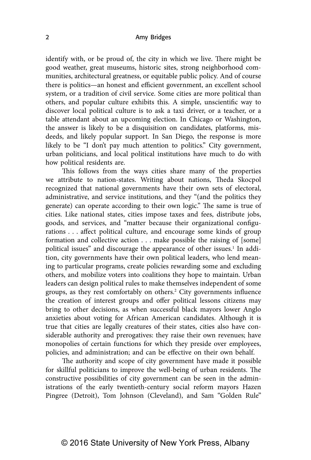identify with, or be proud of, the city in which we live. There might be good weather, great museums, historic sites, strong neighborhood communities, architectural greatness, or equitable public policy. And of course there is politics—an honest and efficient government, an excellent school system, or a tradition of civil service. Some cities are more political than others, and popular culture exhibits this. A simple, unscientific way to discover local political culture is to ask a taxi driver, or a teacher, or a table attendant about an upcoming election. In Chicago or Washington, the answer is likely to be a disquisition on candidates, platforms, misdeeds, and likely popular support. In San Diego, the response is more likely to be "I don't pay much attention to politics." City government, urban politicians, and local political institutions have much to do with how political residents are.

This follows from the ways cities share many of the properties we attribute to nation-states. Writing about nations, Theda Skocpol recognized that national governments have their own sets of electoral, administrative, and service institutions, and they "(and the politics they generate) can operate according to their own logic." The same is true of cities. Like national states, cities impose taxes and fees, distribute jobs, goods, and services, and "matter because their organizational configurations . . . affect political culture, and encourage some kinds of group formation and collective action . . . make possible the raising of [some] political issues" and discourage the appearance of other issues.<sup>1</sup> In addition, city governments have their own political leaders, who lend meaning to particular programs, create policies rewarding some and excluding others, and mobilize voters into coalitions they hope to maintain. Urban leaders can design political rules to make themselves independent of some groups, as they rest comfortably on others.2 City governments influence the creation of interest groups and offer political lessons citizens may bring to other decisions, as when successful black mayors lower Anglo anxieties about voting for African American candidates. Although it is true that cities are legally creatures of their states, cities also have considerable authority and prerogatives: they raise their own revenues; have monopolies of certain functions for which they preside over employees, policies, and administration; and can be effective on their own behalf.

The authority and scope of city government have made it possible for skillful politicians to improve the well-being of urban residents. The constructive possibilities of city government can be seen in the administrations of the early twentieth-century social reform mayors Hazen Pingree (Detroit), Tom Johnson (Cleveland), and Sam "Golden Rule"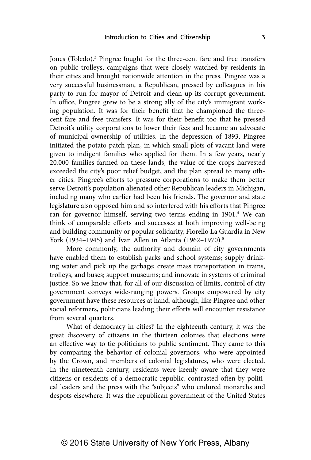Jones (Toledo).<sup>3</sup> Pingree fought for the three-cent fare and free transfers on public trolleys, campaigns that were closely watched by residents in their cities and brought nationwide attention in the press. Pingree was a very successful businessman, a Republican, pressed by colleagues in his party to run for mayor of Detroit and clean up its corrupt government. In office, Pingree grew to be a strong ally of the city's immigrant working population. It was for their benefit that he championed the threecent fare and free transfers. It was for their benefit too that he pressed Detroit's utility corporations to lower their fees and became an advocate of municipal ownership of utilities. In the depression of 1893, Pingree initiated the potato patch plan, in which small plots of vacant land were given to indigent families who applied for them. In a few years, nearly 20,000 families farmed on these lands, the value of the crops harvested exceeded the city's poor relief budget, and the plan spread to many other cities. Pingree's efforts to pressure corporations to make them better serve Detroit's population alienated other Republican leaders in Michigan, including many who earlier had been his friends. The governor and state legislature also opposed him and so interfered with his efforts that Pingree ran for governor himself, serving two terms ending in 1901.<sup>4</sup> We can think of comparable efforts and successes at both improving well-being and building community or popular solidarity, Fiorello La Guardia in New York (1934–1945) and Ivan Allen in Atlanta (1962–1970).<sup>5</sup>

More commonly, the authority and domain of city governments have enabled them to establish parks and school systems; supply drinking water and pick up the garbage; create mass transportation in trains, trolleys, and buses; support museums; and innovate in systems of criminal justice. So we know that, for all of our discussion of limits, control of city government conveys wide-ranging powers. Groups empowered by city government have these resources at hand, although, like Pingree and other social reformers, politicians leading their efforts will encounter resistance from several quarters.

What of democracy in cities? In the eighteenth century, it was the great discovery of citizens in the thirteen colonies that elections were an effective way to tie politicians to public sentiment. They came to this by comparing the behavior of colonial governors, who were appointed by the Crown, and members of colonial legislatures, who were elected. In the nineteenth century, residents were keenly aware that they were citizens or residents of a democratic republic, contrasted often by political leaders and the press with the "subjects" who endured monarchs and despots elsewhere. It was the republican government of the United States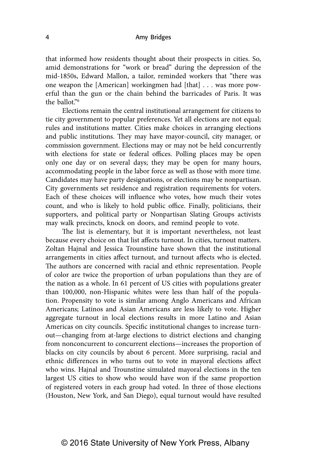that informed how residents thought about their prospects in cities. So, amid demonstrations for "work or bread" during the depression of the mid-1850s, Edward Mallon, a tailor, reminded workers that "there was one weapon the [American] workingmen had [that] . . . was more powerful than the gun or the chain behind the barricades of Paris. It was the  $\text{hall} \, \text{at} \, \text{m}$ 

Elections remain the central institutional arrangement for citizens to tie city government to popular preferences. Yet all elections are not equal; rules and institutions matter. Cities make choices in arranging elections and public institutions. They may have mayor-council, city manager, or commission government. Elections may or may not be held concurrently with elections for state or federal offices. Polling places may be open only one day or on several days; they may be open for many hours, accommodating people in the labor force as well as those with more time. Candidates may have party designations, or elections may be nonpartisan. City governments set residence and registration requirements for voters. Each of these choices will influence who votes, how much their votes count, and who is likely to hold public office. Finally, politicians, their supporters, and political party or Nonpartisan Slating Groups activists may walk precincts, knock on doors, and remind people to vote.

The list is elementary, but it is important nevertheless, not least because every choice on that list affects turnout. In cities, turnout matters. Zoltan Hajnal and Jessica Trounstine have shown that the institutional arrangements in cities affect turnout, and turnout affects who is elected. The authors are concerned with racial and ethnic representation. People of color are twice the proportion of urban populations than they are of the nation as a whole. In 61 percent of US cities with populations greater than 100,000, non-Hispanic whites were less than half of the population. Propensity to vote is similar among Anglo Americans and African Americans; Latinos and Asian Americans are less likely to vote. Higher aggregate turnout in local elections results in more Latino and Asian Americas on city councils. Specific institutional changes to increase turnout—changing from at-large elections to district elections and changing from nonconcurrent to concurrent elections—increases the proportion of blacks on city councils by about 6 percent. More surprising, racial and ethnic differences in who turns out to vote in mayoral elections affect who wins. Hajnal and Trounstine simulated mayoral elections in the ten largest US cities to show who would have won if the same proportion of registered voters in each group had voted. In three of those elections (Houston, New York, and San Diego), equal turnout would have resulted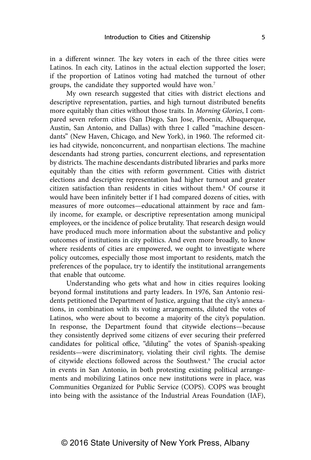in a different winner. The key voters in each of the three cities were Latinos. In each city, Latinos in the actual election supported the loser; if the proportion of Latinos voting had matched the turnout of other groups, the candidate they supported would have won.7

My own research suggested that cities with district elections and descriptive representation, parties, and high turnout distributed benefits more equitably than cities without those traits. In *Morning Glories*, I compared seven reform cities (San Diego, San Jose, Phoenix, Albuquerque, Austin, San Antonio, and Dallas) with three I called "machine descendants" (New Haven, Chicago, and New York), in 1960. The reformed cities had citywide, nonconcurrent, and nonpartisan elections. The machine descendants had strong parties, concurrent elections, and representation by districts. The machine descendants distributed libraries and parks more equitably than the cities with reform government. Cities with district elections and descriptive representation had higher turnout and greater citizen satisfaction than residents in cities without them.8 Of course it would have been infinitely better if I had compared dozens of cities, with measures of more outcomes—educational attainment by race and family income, for example, or descriptive representation among municipal employees, or the incidence of police brutality. That research design would have produced much more information about the substantive and policy outcomes of institutions in city politics. And even more broadly, to know where residents of cities are empowered, we ought to investigate where policy outcomes, especially those most important to residents, match the preferences of the populace, try to identify the institutional arrangements that enable that outcome.

Understanding who gets what and how in cities requires looking beyond formal institutions and party leaders. In 1976, San Antonio residents petitioned the Department of Justice, arguing that the city's annexations, in combination with its voting arrangements, diluted the votes of Latinos, who were about to become a majority of the city's population. In response, the Department found that citywide elections—because they consistently deprived some citizens of ever securing their preferred candidates for political office, "diluting" the votes of Spanish-speaking residents—were discriminatory, violating their civil rights. The demise of citywide elections followed across the Southwest.<sup>9</sup> The crucial actor in events in San Antonio, in both protesting existing political arrangements and mobilizing Latinos once new institutions were in place, was Communities Organized for Public Service (COPS). COPS was brought into being with the assistance of the Industrial Areas Foundation (IAF),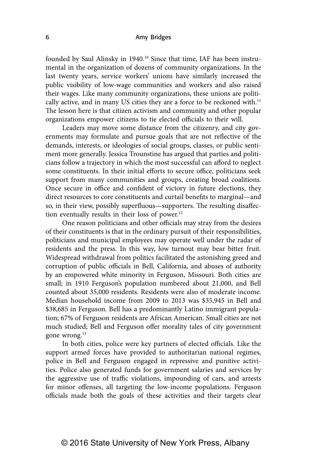founded by Saul Alinsky in 1940.10 Since that time, IAF has been instrumental in the organization of dozens of community organizations. In the last twenty years, service workers' unions have similarly increased the public visibility of low-wage communities and workers and also raised their wages. Like many community organizations, these unions are politically active, and in many US cities they are a force to be reckoned with.<sup>11</sup> The lesson here is that citizen activism and community and other popular organizations empower citizens to tie elected officials to their will.

Leaders may move some distance from the citizenry, and city governments may formulate and pursue goals that are not reflective of the demands, interests, or ideologies of social groups, classes, or public sentiment more generally. Jessica Trounstine has argued that parties and politicians follow a trajectory in which the most successful can afford to neglect some constituents. In their initial efforts to secure office, politicians seek support from many communities and groups, creating broad coalitions. Once secure in office and confident of victory in future elections, they direct resources to core constituents and curtail benefits to marginal—and so, in their view, possibly superfluous—supporters. The resulting disaffection eventually results in their loss of power.<sup>12</sup>

One reason politicians and other officials may stray from the desires of their constituents is that in the ordinary pursuit of their responsibilities, politicians and municipal employees may operate well under the radar of residents and the press. In this way, low turnout may bear bitter fruit. Widespread withdrawal from politics facilitated the astonishing greed and corruption of public officials in Bell, California, and abuses of authority by an empowered white minority in Ferguson, Missouri. Both cities are small; in 1910 Ferguson's population numbered about 21,000, and Bell counted about 35,000 residents. Residents were also of moderate income. Median household income from 2009 to 2013 was \$35,945 in Bell and \$38,685 in Ferguson. Bell has a predominantly Latino immigrant population; 67% of Ferguson residents are African American. Small cities are not much studied; Bell and Ferguson offer morality tales of city government gone wrong.<sup>13</sup>

In both cities, police were key partners of elected officials. Like the support armed forces have provided to authoritarian national regimes, police in Bell and Ferguson engaged in repressive and punitive activities. Police also generated funds for government salaries and services by the aggressive use of traffic violations, impounding of cars, and arrests for minor offenses, all targeting the low-income populations. Ferguson officials made both the goals of these activities and their targets clear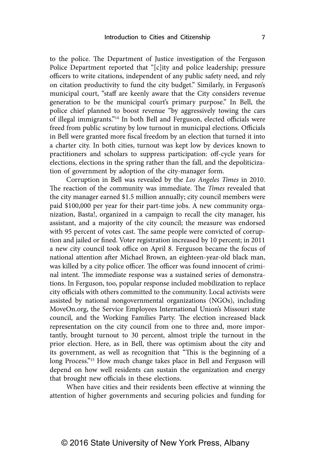to the police. The Department of Justice investigation of the Ferguson Police Department reported that "[c]ity and police leadership; pressure officers to write citations, independent of any public safety need, and rely on citation productivity to fund the city budget." Similarly, in Ferguson's municipal court, "staff are keenly aware that the City considers revenue generation to be the municipal court's primary purpose." In Bell, the police chief planned to boost revenue "by aggressively towing the cars of illegal immigrants."14 In both Bell and Ferguson, elected officials were freed from public scrutiny by low turnout in municipal elections. Officials in Bell were granted more fiscal freedom by an election that turned it into a charter city. In both cities, turnout was kept low by devices known to practitioners and scholars to suppress participation: off-cycle years for elections, elections in the spring rather than the fall, and the depoliticization of government by adoption of the city-manager form.

Corruption in Bell was revealed by the *Los Angeles Times* in 2010. The reaction of the community was immediate. The *Times* revealed that the city manager earned \$1.5 million annually; city council members were paid \$100,000 per year for their part-time jobs. A new community organization, Basta!, organized in a campaign to recall the city manager, his assistant, and a majority of the city council; the measure was endorsed with 95 percent of votes cast. The same people were convicted of corruption and jailed or fined. Voter registration increased by 10 percent; in 2011 a new city council took office on April 8. Ferguson became the focus of national attention after Michael Brown, an eighteen-year-old black man, was killed by a city police officer. The officer was found innocent of criminal intent. The immediate response was a sustained series of demonstrations. In Ferguson, too, popular response included mobilization to replace city officials with others committed to the community. Local activists were assisted by national nongovernmental organizations (NGOs), including MoveOn.org, the Service Employees International Union's Missouri state council, and the Working Families Party. The election increased black representation on the city council from one to three and, more importantly, brought turnout to 30 percent, almost triple the turnout in the prior election. Here, as in Bell, there was optimism about the city and its government, as well as recognition that "This is the beginning of a long Process."<sup>15</sup> How much change takes place in Bell and Ferguson will depend on how well residents can sustain the organization and energy that brought new officials in these elections.

When have cities and their residents been effective at winning the attention of higher governments and securing policies and funding for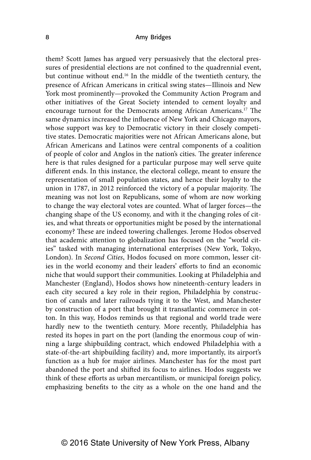them? Scott James has argued very persuasively that the electoral pressures of presidential elections are not confined to the quadrennial event, but continue without end.16 In the middle of the twentieth century, the presence of African Americans in critical swing states—Illinois and New York most prominently—provoked the Community Action Program and other initiatives of the Great Society intended to cement loyalty and encourage turnout for the Democrats among African Americans.17 The same dynamics increased the influence of New York and Chicago mayors, whose support was key to Democratic victory in their closely competitive states. Democratic majorities were not African Americans alone, but African Americans and Latinos were central components of a coalition of people of color and Anglos in the nation's cities. The greater inference here is that rules designed for a particular purpose may well serve quite different ends. In this instance, the electoral college, meant to ensure the representation of small population states, and hence their loyalty to the union in 1787, in 2012 reinforced the victory of a popular majority. The meaning was not lost on Republicans, some of whom are now working to change the way electoral votes are counted. What of larger forces—the changing shape of the US economy, and with it the changing roles of cities, and what threats or opportunities might be posed by the international economy? These are indeed towering challenges. Jerome Hodos observed that academic attention to globalization has focused on the "world cities" tasked with managing international enterprises (New York, Tokyo, London). In *Second Cities*, Hodos focused on more common, lesser cities in the world economy and their leaders' efforts to find an economic niche that would support their communities. Looking at Philadelphia and Manchester (England), Hodos shows how nineteenth-century leaders in each city secured a key role in their region, Philadelphia by construction of canals and later railroads tying it to the West, and Manchester by construction of a port that brought it transatlantic commerce in cotton. In this way, Hodos reminds us that regional and world trade were hardly new to the twentieth century. More recently, Philadelphia has rested its hopes in part on the port (landing the enormous coup of winning a large shipbuilding contract, which endowed Philadelphia with a state-of-the-art shipbuilding facility) and, more importantly, its airport's function as a hub for major airlines. Manchester has for the most part abandoned the port and shifted its focus to airlines. Hodos suggests we think of these efforts as urban mercantilism, or municipal foreign policy, emphasizing benefits to the city as a whole on the one hand and the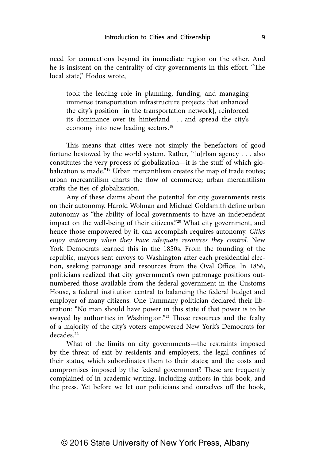need for connections beyond its immediate region on the other. And he is insistent on the centrality of city governments in this effort. "The local state," Hodos wrote,

took the leading role in planning, funding, and managing immense transportation infrastructure projects that enhanced the city's position [in the transportation network], reinforced its dominance over its hinterland . . . and spread the city's economy into new leading sectors.<sup>18</sup>

This means that cities were not simply the benefactors of good fortune bestowed by the world system. Rather, "[u]rban agency . . . also constitutes the very process of globalization—it is the stuff of which globalization is made."<sup>19</sup> Urban mercantilism creates the map of trade routes; urban mercantilism charts the flow of commerce; urban mercantilism crafts the ties of globalization.

Any of these claims about the potential for city governments rests on their autonomy. Harold Wolman and Michael Goldsmith define urban autonomy as "the ability of local governments to have an independent impact on the well-being of their citizens."20 What city government, and hence those empowered by it, can accomplish requires autonomy. *Cities enjoy autonomy when they have adequate resources they control.* New York Democrats learned this in the 1850s. From the founding of the republic, mayors sent envoys to Washington after each presidential election, seeking patronage and resources from the Oval Office. In 1856, politicians realized that city government's own patronage positions outnumbered those available from the federal government in the Customs House, a federal institution central to balancing the federal budget and employer of many citizens. One Tammany politician declared their liberation: "No man should have power in this state if that power is to be swayed by authorities in Washington."<sup>21</sup> Those resources and the fealty of a majority of the city's voters empowered New York's Democrats for decades<sup>22</sup>

What of the limits on city governments—the restraints imposed by the threat of exit by residents and employers; the legal confines of their status, which subordinates them to their states; and the costs and compromises imposed by the federal government? These are frequently complained of in academic writing, including authors in this book, and the press. Yet before we let our politicians and ourselves off the hook,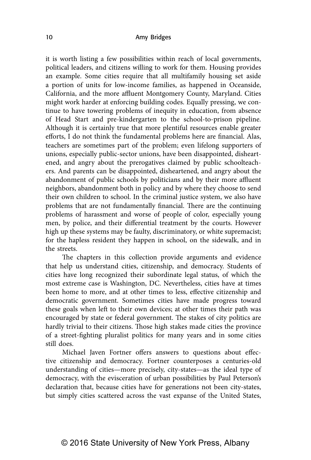it is worth listing a few possibilities within reach of local governments, political leaders, and citizens willing to work for them. Housing provides an example. Some cities require that all multifamily housing set aside a portion of units for low-income families, as happened in Oceanside, California, and the more affluent Montgomery County, Maryland. Cities might work harder at enforcing building codes. Equally pressing, we continue to have towering problems of inequity in education, from absence of Head Start and pre-kindergarten to the school-to-prison pipeline. Although it is certainly true that more plentiful resources enable greater efforts, I do not think the fundamental problems here are financial. Alas, teachers are sometimes part of the problem; even lifelong supporters of unions, especially public-sector unions, have been disappointed, disheartened, and angry about the prerogatives claimed by public schoolteachers. And parents can be disappointed, disheartened, and angry about the abandonment of public schools by politicians and by their more affluent neighbors, abandonment both in policy and by where they choose to send their own children to school. In the criminal justice system, we also have problems that are not fundamentally financial. There are the continuing problems of harassment and worse of people of color, especially young men, by police, and their differential treatment by the courts. However high up these systems may be faulty, discriminatory, or white supremacist; for the hapless resident they happen in school, on the sidewalk, and in the streets.

The chapters in this collection provide arguments and evidence that help us understand cities, citizenship, and democracy. Students of cities have long recognized their subordinate legal status, of which the most extreme case is Washington, DC. Nevertheless, cities have at times been home to more, and at other times to less, effective citizenship and democratic government. Sometimes cities have made progress toward these goals when left to their own devices; at other times their path was encouraged by state or federal government. The stakes of city politics are hardly trivial to their citizens. Those high stakes made cities the province of a street-fighting pluralist politics for many years and in some cities still does.

Michael Javen Fortner offers answers to questions about effective citizenship and democracy. Fortner counterposes a centuries-old understanding of cities—more precisely, city-states—as the ideal type of democracy, with the evisceration of urban possibilities by Paul Peterson's declaration that, because cities have for generations not been city-states, but simply cities scattered across the vast expanse of the United States,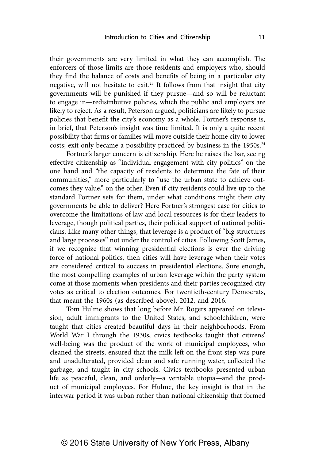their governments are very limited in what they can accomplish. The enforcers of those limits are those residents and employers who, should they find the balance of costs and benefits of being in a particular city negative, will not hesitate to exit.23 It follows from that insight that city governments will be punished if they pursue—and so will be reluctant to engage in—redistributive policies, which the public and employers are likely to reject. As a result, Peterson argued, politicians are likely to pursue policies that benefit the city's economy as a whole. Fortner's response is, in brief, that Peterson's insight was time limited. It is only a quite recent possibility that firms or families will move outside their home city to lower costs; exit only became a possibility practiced by business in the 1950s.<sup>24</sup>

Fortner's larger concern is citizenship. Here he raises the bar, seeing effective citizenship as "individual engagement with city politics" on the one hand and "the capacity of residents to determine the fate of their communities," more particularly to "use the urban state to achieve outcomes they value," on the other. Even if city residents could live up to the standard Fortner sets for them, under what conditions might their city governments be able to deliver? Here Fortner's strongest case for cities to overcome the limitations of law and local resources is for their leaders to leverage, though political parties, their political support of national politicians. Like many other things, that leverage is a product of "big structures and large processes" not under the control of cities. Following Scott James, if we recognize that winning presidential elections is ever the driving force of national politics, then cities will have leverage when their votes are considered critical to success in presidential elections. Sure enough, the most compelling examples of urban leverage within the party system come at those moments when presidents and their parties recognized city votes as critical to election outcomes. For twentieth-century Democrats, that meant the 1960s (as described above), 2012, and 2016.

Tom Hulme shows that long before Mr. Rogers appeared on television, adult immigrants to the United States, and schoolchildren, were taught that cities created beautiful days in their neighborhoods. From World War I through the 1930s, civics textbooks taught that citizens' well-being was the product of the work of municipal employees, who cleaned the streets, ensured that the milk left on the front step was pure and unadulterated, provided clean and safe running water, collected the garbage, and taught in city schools. Civics textbooks presented urban life as peaceful, clean, and orderly—a veritable utopia—and the product of municipal employees. For Hulme, the key insight is that in the interwar period it was urban rather than national citizenship that formed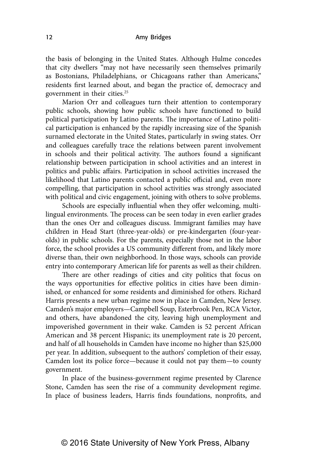the basis of belonging in the United States. Although Hulme concedes that city dwellers "may not have necessarily seen themselves primarily as Bostonians, Philadelphians, or Chicagoans rather than Americans," residents first learned about, and began the practice of, democracy and government in their cities.25

Marion Orr and colleagues turn their attention to contemporary public schools, showing how public schools have functioned to build political participation by Latino parents. The importance of Latino political participation is enhanced by the rapidly increasing size of the Spanish surnamed electorate in the United States, particularly in swing states. Orr and colleagues carefully trace the relations between parent involvement in schools and their political activity. The authors found a significant relationship between participation in school activities and an interest in politics and public affairs. Participation in school activities increased the likelihood that Latino parents contacted a public official and, even more compelling, that participation in school activities was strongly associated with political and civic engagement, joining with others to solve problems.

Schools are especially influential when they offer welcoming, multilingual environments. The process can be seen today in even earlier grades than the ones Orr and colleagues discuss. Immigrant families may have children in Head Start (three-year-olds) or pre-kindergarten (four-yearolds) in public schools. For the parents, especially those not in the labor force, the school provides a US community different from, and likely more diverse than, their own neighborhood. In those ways, schools can provide entry into contemporary American life for parents as well as their children.

There are other readings of cities and city politics that focus on the ways opportunities for effective politics in cities have been diminished, or enhanced for some residents and diminished for others. Richard Harris presents a new urban regime now in place in Camden, New Jersey. Camden's major employers—Campbell Soup, Esterbrook Pen, RCA Victor, and others, have abandoned the city, leaving high unemployment and impoverished government in their wake. Camden is 52 percent African American and 38 percent Hispanic; its unemployment rate is 20 percent, and half of all households in Camden have income no higher than \$25,000 per year. In addition, subsequent to the authors' completion of their essay, Camden lost its police force—because it could not pay them—to county government.

In place of the business-government regime presented by Clarence Stone, Camden has seen the rise of a community development regime. In place of business leaders, Harris finds foundations, nonprofits, and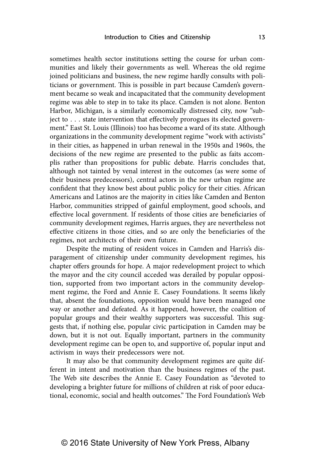sometimes health sector institutions setting the course for urban communities and likely their governments as well. Whereas the old regime joined politicians and business, the new regime hardly consults with politicians or government. This is possible in part because Camden's government became so weak and incapacitated that the community development regime was able to step in to take its place. Camden is not alone. Benton Harbor, Michigan, is a similarly economically distressed city, now "subject to . . . state intervention that effectively prorogues its elected government." East St. Louis (Illinois) too has become a ward of its state. Although organizations in the community development regime "work with activists" in their cities, as happened in urban renewal in the 1950s and 1960s, the decisions of the new regime are presented to the public as faits accomplis rather than propositions for public debate. Harris concludes that, although not tainted by venal interest in the outcomes (as were some of their business predecessors), central actors in the new urban regime are confident that they know best about public policy for their cities. African Americans and Latinos are the majority in cities like Camden and Benton Harbor, communities stripped of gainful employment, good schools, and effective local government. If residents of those cities are beneficiaries of community development regimes, Harris argues, they are nevertheless not effective citizens in those cities, and so are only the beneficiaries of the regimes, not architects of their own future.

Despite the muting of resident voices in Camden and Harris's disparagement of citizenship under community development regimes, his chapter offers grounds for hope. A major redevelopment project to which the mayor and the city council acceded was derailed by popular opposition, supported from two important actors in the community development regime, the Ford and Annie E. Casey Foundations. It seems likely that, absent the foundations, opposition would have been managed one way or another and defeated. As it happened, however, the coalition of popular groups and their wealthy supporters was successful. This suggests that, if nothing else, popular civic participation in Camden may be down, but it is not out. Equally important, partners in the community development regime can be open to, and supportive of, popular input and activism in ways their predecessors were not.

It may also be that community development regimes are quite different in intent and motivation than the business regimes of the past. The Web site describes the Annie E. Casey Foundation as "devoted to developing a brighter future for millions of children at risk of poor educational, economic, social and health outcomes." The Ford Foundation's Web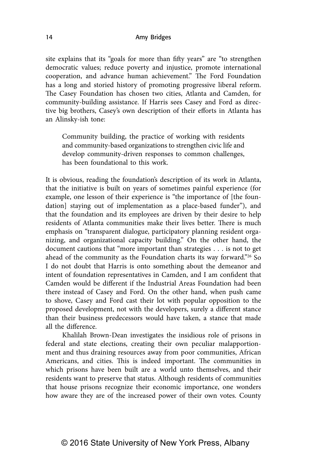site explains that its "goals for more than fifty years" are "to strengthen democratic values; reduce poverty and injustice, promote international cooperation, and advance human achievement." The Ford Foundation has a long and storied history of promoting progressive liberal reform. The Casey Foundation has chosen two cities, Atlanta and Camden, for community-building assistance. If Harris sees Casey and Ford as directive big brothers, Casey's own description of their efforts in Atlanta has an Alinsky-ish tone:

Community building, the practice of working with residents and community-based organizations to strengthen civic life and develop community-driven responses to common challenges, has been foundational to this work.

It is obvious, reading the foundation's description of its work in Atlanta, that the initiative is built on years of sometimes painful experience (for example, one lesson of their experience is "the importance of [the foundation] staying out of implementation as a place-based funder"), and that the foundation and its employees are driven by their desire to help residents of Atlanta communities make their lives better. There is much emphasis on "transparent dialogue, participatory planning resident organizing, and organizational capacity building." On the other hand, the document cautions that "more important than strategies . . . is not to get ahead of the community as the Foundation charts its way forward."26 So I do not doubt that Harris is onto something about the demeanor and intent of foundation representatives in Camden, and I am confident that Camden would be different if the Industrial Areas Foundation had been there instead of Casey and Ford. On the other hand, when push came to shove, Casey and Ford cast their lot with popular opposition to the proposed development, not with the developers, surely a different stance than their business predecessors would have taken, a stance that made all the difference.

Khalilah Brown-Dean investigates the insidious role of prisons in federal and state elections, creating their own peculiar malapportionment and thus draining resources away from poor communities, African Americans, and cities. This is indeed important. The communities in which prisons have been built are a world unto themselves, and their residents want to preserve that status. Although residents of communities that house prisons recognize their economic importance, one wonders how aware they are of the increased power of their own votes. County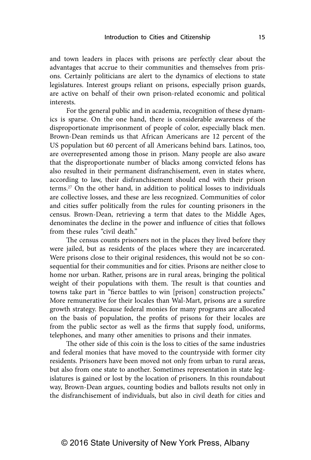and town leaders in places with prisons are perfectly clear about the advantages that accrue to their communities and themselves from prisons. Certainly politicians are alert to the dynamics of elections to state legislatures. Interest groups reliant on prisons, especially prison guards, are active on behalf of their own prison-related economic and political interests.

For the general public and in academia, recognition of these dynamics is sparse. On the one hand, there is considerable awareness of the disproportionate imprisonment of people of color, especially black men. Brown-Dean reminds us that African Americans are 12 percent of the US population but 60 percent of all Americans behind bars. Latinos, too, are overrepresented among those in prison. Many people are also aware that the disproportionate number of blacks among convicted felons has also resulted in their permanent disfranchisement, even in states where, according to law, their disfranchisement should end with their prison terms.27 On the other hand, in addition to political losses to individuals are collective losses, and these are less recognized. Communities of color and cities suffer politically from the rules for counting prisoners in the census. Brown-Dean, retrieving a term that dates to the Middle Ages, denominates the decline in the power and influence of cities that follows from these rules "civil death."

The census counts prisoners not in the places they lived before they were jailed, but as residents of the places where they are incarcerated. Were prisons close to their original residences, this would not be so consequential for their communities and for cities. Prisons are neither close to home nor urban. Rather, prisons are in rural areas, bringing the political weight of their populations with them. The result is that counties and towns take part in "fierce battles to win [prison] construction projects." More remunerative for their locales than Wal-Mart, prisons are a surefire growth strategy. Because federal monies for many programs are allocated on the basis of population, the profits of prisons for their locales are from the public sector as well as the firms that supply food, uniforms, telephones, and many other amenities to prisons and their inmates.

The other side of this coin is the loss to cities of the same industries and federal monies that have moved to the countryside with former city residents. Prisoners have been moved not only from urban to rural areas, but also from one state to another. Sometimes representation in state legislatures is gained or lost by the location of prisoners. In this roundabout way, Brown-Dean argues, counting bodies and ballots results not only in the disfranchisement of individuals, but also in civil death for cities and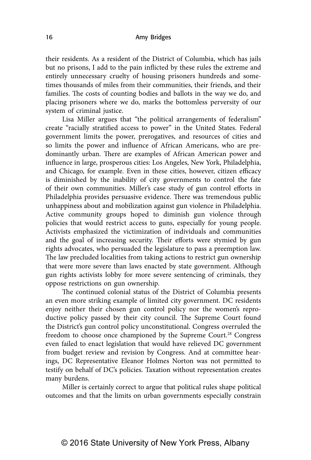their residents. As a resident of the District of Columbia, which has jails but no prisons, I add to the pain inflicted by these rules the extreme and entirely unnecessary cruelty of housing prisoners hundreds and sometimes thousands of miles from their communities, their friends, and their families. The costs of counting bodies and ballots in the way we do, and placing prisoners where we do, marks the bottomless perversity of our system of criminal justice.

Lisa Miller argues that "the political arrangements of federalism" create "racially stratified access to power" in the United States. Federal government limits the power, prerogatives, and resources of cities and so limits the power and influence of African Americans, who are predominantly urban. There are examples of African American power and influence in large, prosperous cities: Los Angeles, New York, Philadelphia, and Chicago, for example. Even in these cities, however, citizen efficacy is diminished by the inability of city governments to control the fate of their own communities. Miller's case study of gun control efforts in Philadelphia provides persuasive evidence. There was tremendous public unhappiness about and mobilization against gun violence in Philadelphia. Active community groups hoped to diminish gun violence through policies that would restrict access to guns, especially for young people. Activists emphasized the victimization of individuals and communities and the goal of increasing security. Their efforts were stymied by gun rights advocates, who persuaded the legislature to pass a preemption law. The law precluded localities from taking actions to restrict gun ownership that were more severe than laws enacted by state government. Although gun rights activists lobby for more severe sentencing of criminals, they oppose restrictions on gun ownership.

The continued colonial status of the District of Columbia presents an even more striking example of limited city government. DC residents enjoy neither their chosen gun control policy nor the women's reproductive policy passed by their city council. The Supreme Court found the District's gun control policy unconstitutional. Congress overruled the freedom to choose once championed by the Supreme Court.<sup>28</sup> Congress even failed to enact legislation that would have relieved DC government from budget review and revision by Congress. And at committee hearings, DC Representative Eleanor Holmes Norton was not permitted to testify on behalf of DC's policies. Taxation without representation creates many burdens.

Miller is certainly correct to argue that political rules shape political outcomes and that the limits on urban governments especially constrain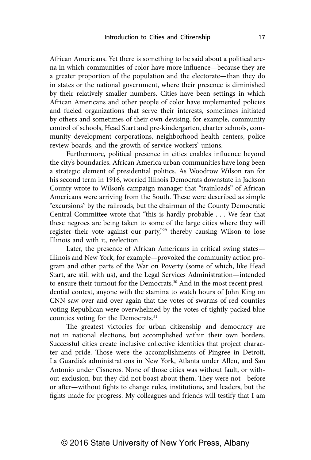African Americans. Yet there is something to be said about a political arena in which communities of color have more influence—because they are a greater proportion of the population and the electorate—than they do in states or the national government, where their presence is diminished by their relatively smaller numbers. Cities have been settings in which African Americans and other people of color have implemented policies and fueled organizations that serve their interests, sometimes initiated by others and sometimes of their own devising, for example, community control of schools, Head Start and pre-kindergarten, charter schools, community development corporations, neighborhood health centers, police review boards, and the growth of service workers' unions.

Furthermore, political presence in cities enables influence beyond the city's boundaries. African America urban communities have long been a strategic element of presidential politics. As Woodrow Wilson ran for his second term in 1916, worried Illinois Democrats downstate in Jackson County wrote to Wilson's campaign manager that "trainloads" of African Americans were arriving from the South. These were described as simple "excursions" by the railroads, but the chairman of the County Democratic Central Committee wrote that "this is hardly probable . . . We fear that these negroes are being taken to some of the large cities where they will register their vote against our party,"29 thereby causing Wilson to lose Illinois and with it, reelection.

Later, the presence of African Americans in critical swing states— Illinois and New York, for example—provoked the community action program and other parts of the War on Poverty (some of which, like Head Start, are still with us), and the Legal Services Administration—intended to ensure their turnout for the Democrats.<sup>30</sup> And in the most recent presidential contest, anyone with the stamina to watch hours of John King on CNN saw over and over again that the votes of swarms of red counties voting Republican were overwhelmed by the votes of tightly packed blue counties voting for the Democrats.<sup>31</sup>

The greatest victories for urban citizenship and democracy are not in national elections, but accomplished within their own borders. Successful cities create inclusive collective identities that project character and pride. Those were the accomplishments of Pingree in Detroit, La Guardia's administrations in New York, Atlanta under Allen, and San Antonio under Cisneros. None of those cities was without fault, or without exclusion, but they did not boast about them. They were not—before or after—without fights to change rules, institutions, and leaders, but the fights made for progress. My colleagues and friends will testify that I am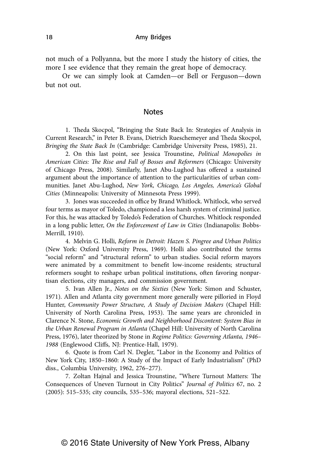not much of a Pollyanna, but the more I study the history of cities, the more I see evidence that they remain the great hope of democracy.

Or we can simply look at Camden—or Bell or Ferguson—down but not out.

## Notes

 1. Theda Skocpol, "Bringing the State Back In: Strategies of Analysis in Current Research," in Peter B. Evans, Dietrich Rueschemeyer and Theda Skocpol, *Bringing the State Back In* (Cambridge: Cambridge University Press, 1985), 21.

 2. On this last point, see Jessica Trounstine, *Political Monopolies in American Cities: The Rise and Fall of Bosses and Reformers* (Chicago: University of Chicago Press, 2008). Similarly, Janet Abu-Lughod has offered a sustained argument about the importance of attention to the particularities of urban communities. Janet Abu-Lughod, *New York, Chicago, Los Angeles, America's Global Cities* (Minneapolis: University of Minnesota Press 1999).

 3. Jones was succeeded in office by Brand Whitlock. Whitlock, who served four terms as mayor of Toledo, championed a less harsh system of criminal justice. For this, he was attacked by Toledo's Federation of Churches. Whitlock responded in a long public letter, *On the Enforcement of Law in Cities* (Indianapolis: Bobbs-Merrill, 1910).

 4. Melvin G. Holli, *Reform in Detroit: Hazen S. Pingree and Urban Politics* (New York: Oxford University Press, 1969). Holli also contributed the terms "social reform" and "structural reform" to urban studies. Social reform mayors were animated by a commitment to benefit low-income residents; structural reformers sought to reshape urban political institutions, often favoring nonpartisan elections, city managers, and commission government.

 5. Ivan Allen Jr., *Notes on the Sixties* (New York: Simon and Schuster, 1971). Allen and Atlanta city government more generally were pilloried in Floyd Hunter, *Community Power Structure, A Study of Decision Makers* (Chapel Hill: University of North Carolina Press, 1953). The same years are chronicled in Clarence N. Stone, *Economic Growth and Neighborhood Discontent: System Bias in the Urban Renewal Program in Atlanta* (Chapel Hill: University of North Carolina Press, 1976), later theorized by Stone in *Regime Politics: Governing Atlanta, 1946– 1988* (Englewood Cliffs, NJ: Prentice-Hall, 1979).

 6. Quote is from Carl N. Degler, "Labor in the Economy and Politics of New York City, 1850–1860: A Study of the Impact of Early Industrialism" (PhD diss., Columbia University, 1962, 276–277).

 7. Zoltan Hajnal and Jessica Trounstine, "Where Turnout Matters: The Consequences of Uneven Turnout in City Politics" *Journal of Politics* 67, no. 2 (2005): 515–535; city councils, 535–536; mayoral elections, 521–522.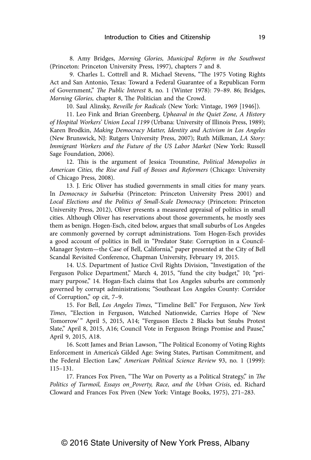8. Amy Bridges, *Morning Glories, Municipal Reform in the Southwest* (Princeton: Princeton University Press, 1997), chapters 7 and 8.

 9. Charles L. Cottrell and R. Michael Stevens, "The 1975 Voting Rights Act and San Antonio, Texas: Toward a Federal Guarantee of a Republican Form of Government," *The Public Interest* 8, no. 1 (Winter 1978): 79–89. 86; Bridges, *Morning Glories,* chapter 8, The Politician and the Crowd.

10. Saul Alinsky, *Reveille for Radicals* (New York: Vintage, 1969 [1946]).

11. Leo Fink and Brian Greenberg, *Upheaval in the Quiet Zone, A History of Hospital Workers' Union Local 1199* (Urbana: University of Illinois Press, 1989); Karen Brodkin, *Making Democracy Matter, Identity and Activism in Los Angeles* (New Brunswick, NJ: Rutgers University Press, 2007); Ruth Milkman, *LA Story: Immigrant Workers and the Future of the US Labor Market* (New York: Russell Sage Foundation, 2006).

12. This is the argument of Jessica Trounstine, *Political Monopolies in American Cities, the Rise and Fall of Bosses and Reformers* (Chicago: University of Chicago Press, 2008).

13. J. Eric Oliver has studied governments in small cities for many years. In *Democracy in Suburbia* (Princeton: Princeton University Press 2001) and *Local Elections and the Politics of Small-Scale Democracy* (Princeton: Princeton University Press, 2012), Oliver presents a measured appraisal of politics in small cities. Although Oliver has reservations about those governments, he mostly sees them as benign. Hogen-Esch, cited below, argues that small suburbs of Los Angeles are commonly governed by corrupt administrations. Tom Hogen-Esch provides a good account of politics in Bell in "Predator State: Corruption in a Council-Manager System—the Case of Bell, California," paper presented at the City of Bell Scandal Revisited Conference, Chapman University, February 19, 2015.

14. U.S. Department of Justice Civil Rights Division, "Investigation of the Ferguson Police Department," March 4, 2015, "fund the city budget," 10; "primary purpose," 14. Hogan-Esch claims that Los Angeles suburbs are commonly governed by corrupt administrations; "Southeast Los Angeles County: Corridor of Corruption," op cit, 7–9.

15. For Bell, *Los Angeles Times*, "Timeline Bell." For Ferguson, *New York Times*, "Election in Ferguson, Watched Nationwide, Carries Hope of 'New Tomorrow'" April 5, 2015, A14; "Ferguson Elects 2 Blacks but Snubs Protest Slate," April 8, 2015, A16; Council Vote in Ferguson Brings Promise and Pause," April 9, 2015, A18.

16. Scott James and Brian Lawson, "The Political Economy of Voting Rights Enforcement in America's Gilded Age: Swing States, Partisan Commitment, and the Federal Election Law," *American Political Science Review* 93, no. 1 (1999): 115–131.

17. Frances Fox Piven, "The War on Poverty as a Political Strategy," in *The Politics of Turmoil, Essays on Poverty, Race, and the Urban Crisis*, ed. Richard Cloward and Frances Fox Piven (New York: Vintage Books, 1975), 271–283.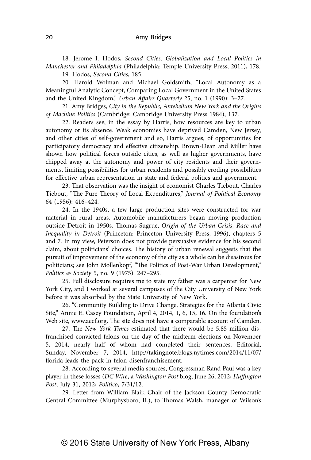18. Jerome I. Hodos, *Second Cities, Globalization and Local Politics in Manchester and Philadelphia* (Philadelphia: Temple University Press, 2011), 178. 19. Hodos, *Second Cities*, 185.

20. Harold Wolman and Michael Goldsmith, "Local Autonomy as a Meaningful Analytic Concept, Comparing Local Government in the United States and the United Kingdom," *Urban Affairs Quarterly* 25, no. 1 (1990): 3–27.

21. Amy Bridges, *City in the Republic, Antebellum New York and the Origins of Machine Politics* (Cambridge: Cambridge University Press 1984), 137.

22. Readers see, in the essay by Harris, how resources are key to urban autonomy or its absence. Weak economies have deprived Camden, New Jersey, and other cities of self-government and so, Harris argues, of opportunities for participatory democracy and effective citizenship. Brown-Dean and Miller have shown how political forces outside cities, as well as higher governments, have chipped away at the autonomy and power of city residents and their governments, limiting possibilities for urban residents and possibly eroding possibilities for effective urban representation in state and federal politics and government.

23. That observation was the insight of economist Charles Tiebout. Charles Tiebout, "The Pure Theory of Local Expenditures," *Journal of Political Economy* 64 (1956): 416–424.

24. In the 1940s, a few large production sites were constructed for war material in rural areas. Automobile manufacturers began moving production outside Detroit in 1950s. Thomas Sugrue, *Origin of the Urban Crisis, Race and Inequality in Detroit* (Princeton: Princeton University Press, 1996), chapters 5 and 7. In my view, Peterson does not provide persuasive evidence for his second claim, about politicians' choices. The history of urban renewal suggests that the pursuit of improvement of the economy of the city as a whole can be disastrous for politicians; see John Mollenkopf, "The Politics of Post-War Urban Development," *Politics & Society* 5, no. 9 (1975): 247–295.

25. Full disclosure requires me to state my father was a carpenter for New York City, and I worked at several campuses of the City University of New York before it was absorbed by the State University of New York.

26. "Community Building to Drive Change, Strategies for the Atlanta Civic Site," Annie E. Casey Foundation, April 4, 2014, 1, 6, 15, 16. On the foundation's Web site, www.aecf.org. The site does not have a comparable account of Camden.

27. The *New York Times* estimated that there would be 5.85 million disfranchised convicted felons on the day of the midterm elections on November 5, 2014, nearly half of whom had completed their sentences. Editorial, Sunday, November 7, 2014, http://takingnote.blogs,nytimes.com/2014/11/07/ florida-leads-the-pack-in-felon-disenfranchisement.

28. According to several media sources, Congressman Rand Paul was a key player in these losses (*DC Wire*, a *Washington Post* blog, June 26, 2012; *Huffington Post*, July 31, 2012; *Politico*, 7/31/12.

29. Letter from William Blair, Chair of the Jackson County Democratic Central Committee (Murphysboro, IL), to Thomas Walsh, manager of Wilson's